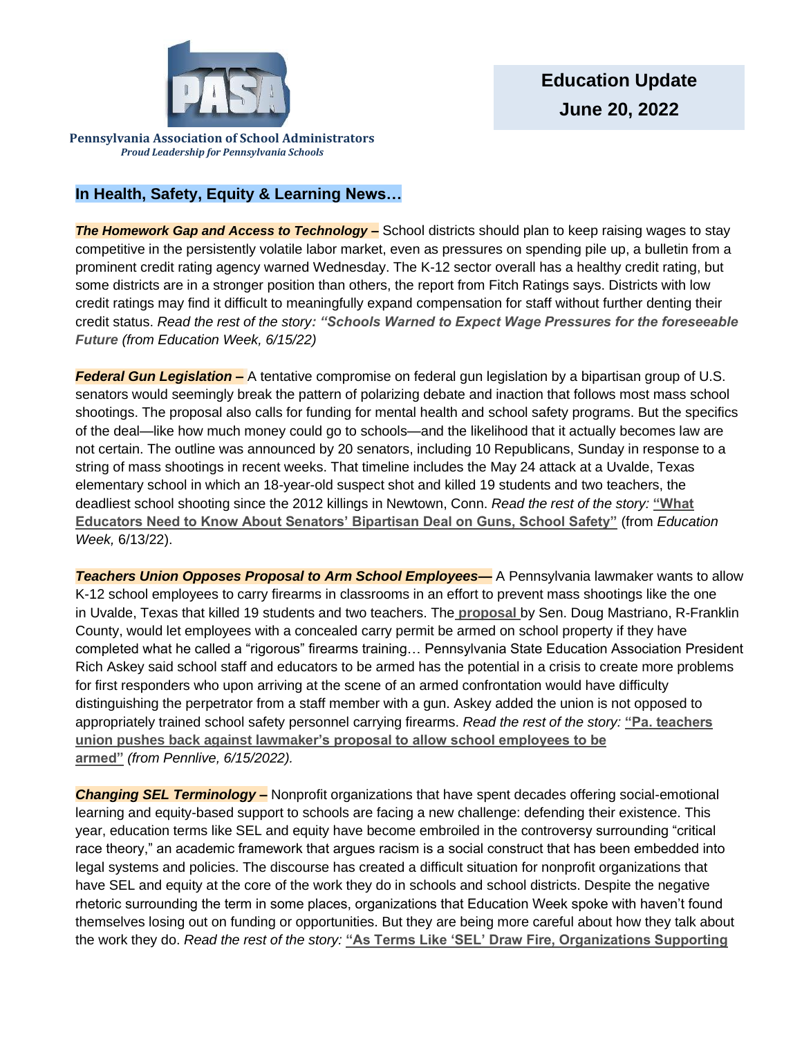

**Pennsylvania Association of School Administrators** *Proud Leadership for Pennsylvania Schools*

# **In Health, Safety, Equity & Learning News…**

**The Homework Gap and Access to Technology –** School districts should plan to keep raising wages to stay competitive in the persistently volatile labor market, even as pressures on spending pile up, a bulletin from a prominent credit rating agency warned Wednesday. The K-12 sector overall has a healthy credit rating, but some districts are in a stronger position than others, the report from Fitch Ratings says. Districts with low credit ratings may find it difficult to meaningfully expand compensation for staff without further denting their credit status. *Read the rest of the story[: "Schools Warned to Expect Wage Pressures for the foreseeable](https://www.edweek.org/leadership/schools-warned-to-expect-wage-pressures-for-the-foreseeable-future/2022/06?utm_source=nl&utm_medium=eml&utm_campaign=eu&M=4483655&UUID=6228dead1defcfc419a33ae1c5cb312a)  [Future](https://www.edweek.org/leadership/schools-warned-to-expect-wage-pressures-for-the-foreseeable-future/2022/06?utm_source=nl&utm_medium=eml&utm_campaign=eu&M=4483655&UUID=6228dead1defcfc419a33ae1c5cb312a) (from Education Week, 6/15/22)*

*Federal Gun Legislation –* A tentative compromise on federal gun legislation by a bipartisan group of U.S. senators would seemingly break the pattern of polarizing debate and inaction that follows most mass school shootings. The proposal also calls for funding for mental health and school safety programs. But the specifics of the deal—like how much money could go to schools—and the likelihood that it actually becomes law are not certain. The outline was announced by 20 senators, including 10 Republicans, Sunday in response to a string of mass shootings in recent weeks. That timeline includes the May 24 attack at a Uvalde, Texas elementary school in which an 18-year-old suspect shot and killed 19 students and two teachers, the deadliest school shooting since the 2012 killings in Newtown, Conn. *Read the rest of the story:* **["What](https://www.edweek.org/policy-politics/what-educators-need-to-know-about-senators-bipartisan-deal-on-guns-school-safety/2022/06?utm_source=nl&utm_medium=eml&utm_campaign=eu&M=4466931&UUID=6228dead1defcfc419a33ae1c5cb312a)  [Educators Need to Know About Senators' Bipartisan Deal on Guns, School Safety"](https://www.edweek.org/policy-politics/what-educators-need-to-know-about-senators-bipartisan-deal-on-guns-school-safety/2022/06?utm_source=nl&utm_medium=eml&utm_campaign=eu&M=4466931&UUID=6228dead1defcfc419a33ae1c5cb312a)** (from *Education Week,* 6/13/22).

*Teachers Union Opposes Proposal to Arm School Employees—* A Pennsylvania lawmaker wants to allow K-12 school employees to carry firearms in classrooms in an effort to prevent mass shootings like the one in Uvalde, Texas that killed 19 students and two teachers. The **[proposal](https://nam12.safelinks.protection.outlook.com/?url=https%3A%2F%2Fwww.legis.state.pa.us%2Fcfdocs%2FLegis%2FCSM%2FshowMemoPublic.cfm%3Fchamber%3DS%26SPick%3D20210%26cosponId%3D37468&data=05%7C01%7CAKulikowski%40pasa-net.org%7C12d8977ae46844dc77ed08da4f900f83%7C82d6e5ffed04472a8d43e211c3796bdd%7C0%7C0%7C637909777387843008%7CUnknown%7CTWFpbGZsb3d8eyJWIjoiMC4wLjAwMDAiLCJQIjoiV2luMzIiLCJBTiI6Ik1haWwiLCJXVCI6Mn0%3D%7C3000%7C%7C%7C&sdata=c8drBNAsL7vu%2FajKwRznM3nIpegcVBO9cTh5G95xF5U%3D&reserved=0)** by Sen. Doug Mastriano, R-Franklin County, would let employees with a concealed carry permit be armed on school property if they have completed what he called a "rigorous" firearms training… Pennsylvania State Education Association President Rich Askey said school staff and educators to be armed has the potential in a crisis to create more problems for first responders who upon arriving at the scene of an armed confrontation would have difficulty distinguishing the perpetrator from a staff member with a gun. Askey added the union is not opposed to appropriately trained school safety personnel carrying firearms. *Read the rest of the story:* **["Pa. teachers](https://www.pennlive.com/news/2022/06/pa-teachers-union-pushes-back-against-lawmakers-proposal-to-allow-school-employees-to-be-armed.html)  [union pushes back against lawmaker's proposal to allow school employees to be](https://www.pennlive.com/news/2022/06/pa-teachers-union-pushes-back-against-lawmakers-proposal-to-allow-school-employees-to-be-armed.html)  [armed"](https://www.pennlive.com/news/2022/06/pa-teachers-union-pushes-back-against-lawmakers-proposal-to-allow-school-employees-to-be-armed.html)** *(from Pennlive, 6/15/2022).*

*Changing SEL Terminology –* Nonprofit organizations that have spent decades offering social-emotional learning and equity-based support to schools are facing a new challenge: defending their existence. This year, education terms like SEL and equity have become embroiled in the controversy surrounding "critical race theory," an academic framework that argues racism is a social construct that has been embedded into legal systems and policies. The discourse has created a difficult situation for nonprofit organizations that have SEL and equity at the core of the work they do in schools and school districts. Despite the negative rhetoric surrounding the term in some places, organizations that Education Week spoke with haven't found themselves losing out on funding or opportunities. But they are being more careful about how they talk about the work they do. *Read the rest of the story:* **["As Terms Like 'SEL' Draw Fire, Organizations Supporting](https://www.edweek.org/leadership/as-terms-like-sel-draw-fire-organizations-supporting-schools-sharpen-their-message/2022/06?utm_source=nl&utm_medium=eml&utm_campaign=eu&M=4466931&UUID=6228dead1defcfc419a33ae1c5cb312a)**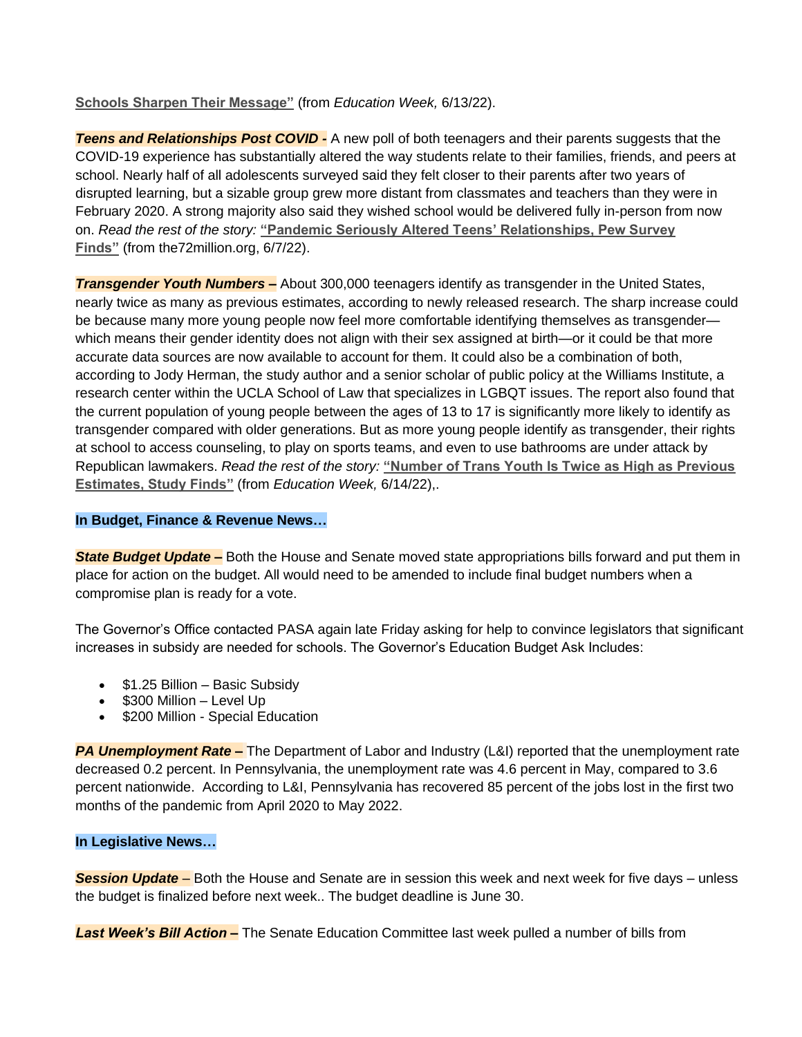## **[Schools Sharpen Their Message"](https://www.edweek.org/leadership/as-terms-like-sel-draw-fire-organizations-supporting-schools-sharpen-their-message/2022/06?utm_source=nl&utm_medium=eml&utm_campaign=eu&M=4466931&UUID=6228dead1defcfc419a33ae1c5cb312a)** (from *Education Week,* 6/13/22).

*Teens and Relationships Post COVID -* A new poll of both teenagers and their parents suggests that the COVID-19 experience has substantially altered the way students relate to their families, friends, and peers at school. Nearly half of all adolescents surveyed said they felt closer to their parents after two years of disrupted learning, but a sizable group grew more distant from classmates and teachers than they were in February 2020. A strong majority also said they wished school would be delivered fully in-person from now on. *Read the rest of the story:* **["Pandemic Seriously Altered Teens' Relationships, Pew Survey](https://www.the74million.org/article/pandemic-seriously-altered-teens-relationships-pew-survey-finds/)  [Finds"](https://www.the74million.org/article/pandemic-seriously-altered-teens-relationships-pew-survey-finds/)** (from the72million.org, 6/7/22).

*Transgender Youth Numbers –* About 300,000 teenagers identify as transgender in the United States, nearly twice as many as previous estimates, according to newly released research. The sharp increase could be because many more young people now feel more comfortable identifying themselves as transgender which means their gender identity does not align with their sex assigned at birth—or it could be that more accurate data sources are now available to account for them. It could also be a combination of both, according to Jody Herman, the study author and a senior scholar of public policy at the Williams Institute, a research center within the UCLA School of Law that specializes in LGBQT issues. The report also found that the current population of young people between the ages of 13 to 17 is significantly more likely to identify as transgender compared with older generations. But as more young people identify as transgender, their rights at school to access counseling, to play on sports teams, and even to use bathrooms are under attack by Republican lawmakers. *Read the rest of the story:* **["Number of Trans Youth Is Twice as High as Previous](https://www.edweek.org/leadership/number-of-trans-youth-is-twice-as-high-as-previous-estimates-study-finds/2022/06?utm_source=nl&utm_medium=eml&utm_campaign=eu&M=4475438&UUID=6228dead1defcfc419a33ae1c5cb312a)  [Estimates, Study Finds"](https://www.edweek.org/leadership/number-of-trans-youth-is-twice-as-high-as-previous-estimates-study-finds/2022/06?utm_source=nl&utm_medium=eml&utm_campaign=eu&M=4475438&UUID=6228dead1defcfc419a33ae1c5cb312a)** (from *Education Week,* 6/14/22),.

### **In Budget, Finance & Revenue News…**

*State Budget Update –* Both the House and Senate moved state appropriations bills forward and put them in place for action on the budget. All would need to be amended to include final budget numbers when a compromise plan is ready for a vote.

The Governor's Office contacted PASA again late Friday asking for help to convince legislators that significant increases in subsidy are needed for schools. The Governor's Education Budget Ask Includes:

- \$1.25 Billion Basic Subsidy
- \$300 Million Level Up
- \$200 Million Special Education

*PA Unemployment Rate –* The Department of Labor and Industry (L&I) reported that the unemployment rate decreased 0.2 percent. In Pennsylvania, the unemployment rate was 4.6 percent in May, compared to 3.6 percent nationwide. According to L&I, Pennsylvania has recovered 85 percent of the jobs lost in the first two months of the pandemic from April 2020 to May 2022.

## **In Legislative News…**

*Session Update –* Both the House and Senate are in session this week and next week for five days – unless the budget is finalized before next week.. The budget deadline is June 30.

*Last Week's Bill Action –* The Senate Education Committee last week pulled a number of bills from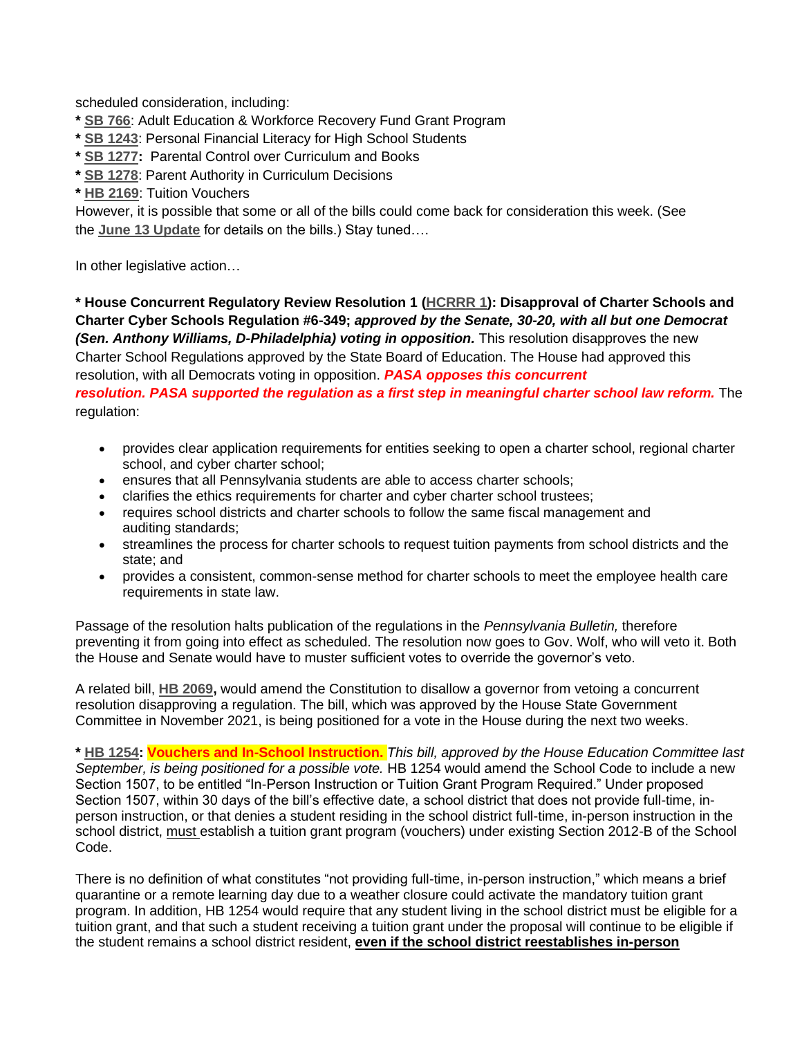scheduled consideration, including:

- **\* [SB 766](https://www.legis.state.pa.us/cfdocs/billInfo/billInfo.cfm?sYear=2021&sInd=0&body=s&type=b&bn=766)**: Adult Education & Workforce Recovery Fund Grant Program
- **\* [SB 1243](https://www.legis.state.pa.us/cfdocs/billInfo/billInfo.cfm?sYear=2021&sInd=0&body=s&type=b&bn=1243)**: Personal Financial Literacy for High School Students
- **\* [SB 1277:](https://www.legis.state.pa.us/cfdocs/billInfo/billInfo.cfm?sYear=2021&sInd=0&body=s&type=b&bn=1277)** Parental Control over Curriculum and Books
- **\* [SB 1278](https://www.legis.state.pa.us/cfdocs/billInfo/billInfo.cfm?sYear=2021&sInd=0&body=s&type=b&bn=1278)**: Parent Authority in Curriculum Decisions
- **\* [HB 2169](https://www.legis.state.pa.us/cfdocs/billInfo/billInfo.cfm?sYear=2021&sInd=0&body=h&type=b&bn=2169)**: Tuition Vouchers

However, it is possible that some or all of the bills could come back for consideration this week. (See the **[June 13 Update](https://www.pasa-net.org/Files/Updates/2022/UpdatePDF06-13-22.pdf)** for details on the bills.) Stay tuned….

In other legislative action…

**\* House Concurrent Regulatory Review Resolution 1 [\(HCRRR 1\)](https://www.legis.state.pa.us/cfdocs/legis/home/bills/RenderMisc-Documents.cfm?name=HU0001&MiscYr=2022): Disapproval of Charter Schools and Charter Cyber Schools Regulation #6-349;** *approved by the Senate, 30-20, with all but one Democrat (Sen. Anthony Williams, D-Philadelphia) voting in opposition.* This resolution disapproves the new Charter School Regulations approved by the State Board of Education. The House had approved this resolution, with all Democrats voting in opposition. *PASA opposes this concurrent resolution. PASA supported the regulation as a first step in meaningful charter school law reform.* The regulation:

- provides clear application requirements for entities seeking to open a charter school, regional charter school, and cyber charter school;
- ensures that all Pennsylvania students are able to access charter schools;
- clarifies the ethics requirements for charter and cyber charter school trustees;
- requires school districts and charter schools to follow the same fiscal management and auditing standards;
- streamlines the process for charter schools to request tuition payments from school districts and the state; and
- provides a consistent, common-sense method for charter schools to meet the employee health care requirements in state law.

Passage of the resolution halts publication of the regulations in the *Pennsylvania Bulletin,* therefore preventing it from going into effect as scheduled. The resolution now goes to Gov. Wolf, who will veto it. Both the House and Senate would have to muster sufficient votes to override the governor's veto.

A related bill, **[HB 2069,](https://www.legis.state.pa.us/cfdocs/billInfo/billInfo.cfm?sYear=2021&sInd=0&body=h&type=b&bn=2069)** would amend the Constitution to disallow a governor from vetoing a concurrent resolution disapproving a regulation. The bill, which was approved by the House State Government Committee in November 2021, is being positioned for a vote in the House during the next two weeks.

**\* [HB 1254:](https://www.legis.state.pa.us/cfdocs/billInfo/billInfo.cfm?sYear=2021&sInd=0&body=h&type=b&bn=1254) Vouchers and In-School Instruction.** *This bill, approved by the House Education Committee last September, is being positioned for a possible vote.* HB 1254 would amend the School Code to include a new Section 1507, to be entitled "In-Person Instruction or Tuition Grant Program Required." Under proposed Section 1507, within 30 days of the bill's effective date, a school district that does not provide full-time, inperson instruction, or that denies a student residing in the school district full-time, in-person instruction in the school district, must establish a tuition grant program (vouchers) under existing Section 2012-B of the School Code.

There is no definition of what constitutes "not providing full-time, in-person instruction," which means a brief quarantine or a remote learning day due to a weather closure could activate the mandatory tuition grant program. In addition, HB 1254 would require that any student living in the school district must be eligible for a tuition grant, and that such a student receiving a tuition grant under the proposal will continue to be eligible if the student remains a school district resident, **even if the school district reestablishes in-person**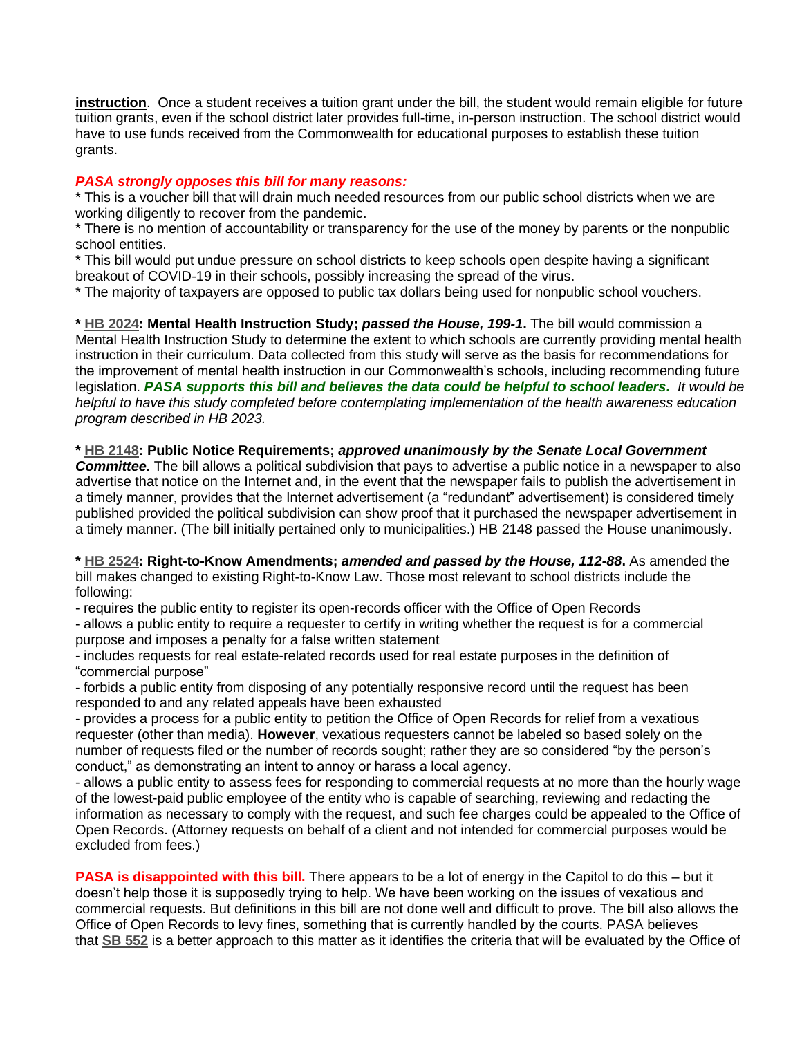**instruction**. Once a student receives a tuition grant under the bill, the student would remain eligible for future tuition grants, even if the school district later provides full-time, in-person instruction. The school district would have to use funds received from the Commonwealth for educational purposes to establish these tuition grants.

### *PASA strongly opposes this bill for many reasons:*

\* This is a voucher bill that will drain much needed resources from our public school districts when we are working diligently to recover from the pandemic.

\* There is no mention of accountability or transparency for the use of the money by parents or the nonpublic school entities.

\* This bill would put undue pressure on school districts to keep schools open despite having a significant breakout of COVID-19 in their schools, possibly increasing the spread of the virus.

\* The majority of taxpayers are opposed to public tax dollars being used for nonpublic school vouchers.

**\* [HB 2024:](https://www.legis.state.pa.us/cfdocs/billinfo/billinfo.cfm?syear=2021&sInd=0&body=H&type=B&bn=2024) Mental Health Instruction Study;** *passed the House, 199-1***.** The bill would commission a Mental Health Instruction Study to determine the extent to which schools are currently providing mental health instruction in their curriculum. Data collected from this study will serve as the basis for recommendations for the improvement of mental health instruction in our Commonwealth's schools, including recommending future legislation. *PASA supports this bill and believes the data could be helpful to school leaders. It would be helpful to have this study completed before contemplating implementation of the health awareness education program described in HB 2023.*

#### **\* [HB 2148:](https://www.legis.state.pa.us/cfdocs/billInfo/bill_history.cfm?syear=2021&sind=0&body=H&type=B&bn=2148) Public Notice Requirements;** *approved unanimously by the Senate Local Government*

*Committee.* The bill allows a political subdivision that pays to advertise a public notice in a newspaper to also advertise that notice on the Internet and, in the event that the newspaper fails to publish the advertisement in a timely manner, provides that the Internet advertisement (a "redundant" advertisement) is considered timely published provided the political subdivision can show proof that it purchased the newspaper advertisement in a timely manner. (The bill initially pertained only to municipalities.) HB 2148 passed the House unanimously.

**\* [HB 2524:](https://www.legis.state.pa.us/cfdocs/billInfo/billInfo.cfm?sYear=2021&sInd=0&body=h&type=b&bn=2524) Right-to-Know Amendments;** *amended and passed by the House, 112-88***.** As amended the bill makes changed to existing Right-to-Know Law. Those most relevant to school districts include the following:

- requires the public entity to register its open-records officer with the Office of Open Records

- allows a public entity to require a requester to certify in writing whether the request is for a commercial purpose and imposes a penalty for a false written statement

- includes requests for real estate-related records used for real estate purposes in the definition of "commercial purpose"

- forbids a public entity from disposing of any potentially responsive record until the request has been responded to and any related appeals have been exhausted

- provides a process for a public entity to petition the Office of Open Records for relief from a vexatious requester (other than media). **However**, vexatious requesters cannot be labeled so based solely on the number of requests filed or the number of records sought; rather they are so considered "by the person's conduct," as demonstrating an intent to annoy or harass a local agency.

- allows a public entity to assess fees for responding to commercial requests at no more than the hourly wage of the lowest-paid public employee of the entity who is capable of searching, reviewing and redacting the information as necessary to comply with the request, and such fee charges could be appealed to the Office of Open Records. (Attorney requests on behalf of a client and not intended for commercial purposes would be excluded from fees.)

**PASA** is disappointed with this bill. There appears to be a lot of energy in the Capitol to do this – but it doesn't help those it is supposedly trying to help. We have been working on the issues of vexatious and commercial requests. But definitions in this bill are not done well and difficult to prove. The bill also allows the Office of Open Records to levy fines, something that is currently handled by the courts. PASA believes that **[SB 552](https://www.legis.state.pa.us/cfdocs/billInfo/billInfo.cfm?sYear=2021&sInd=0&body=s&type=b&bn=552)** is a better approach to this matter as it identifies the criteria that will be evaluated by the Office of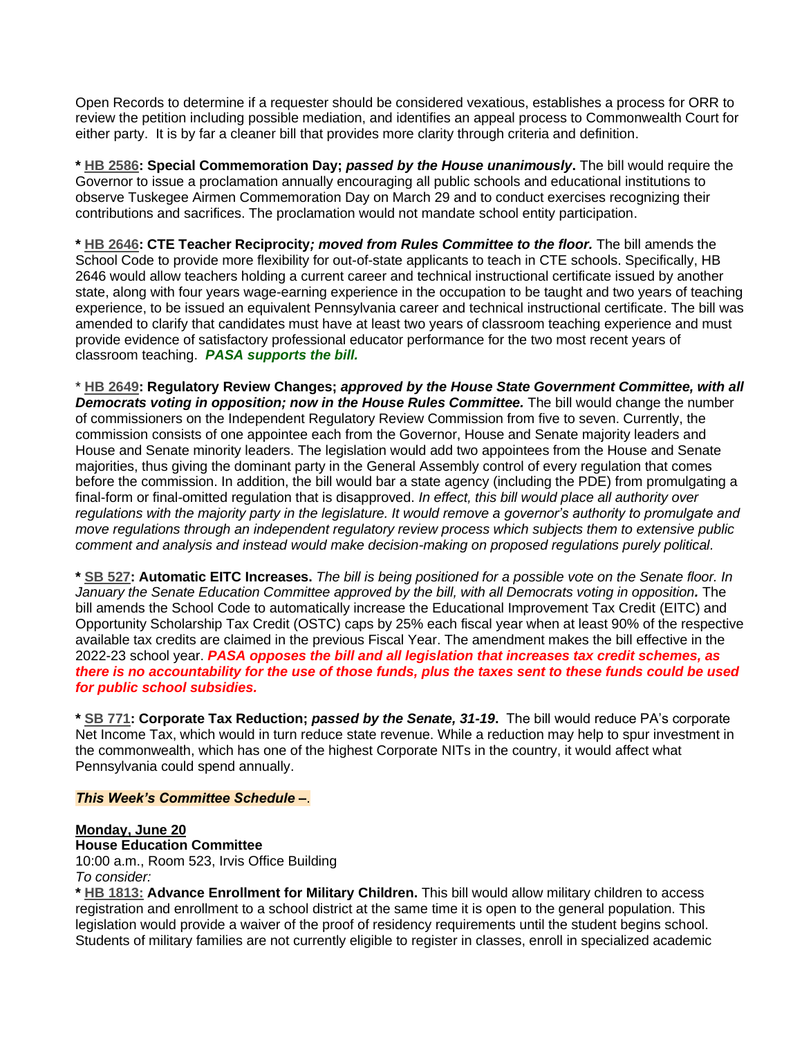Open Records to determine if a requester should be considered vexatious, establishes a process for ORR to review the petition including possible mediation, and identifies an appeal process to Commonwealth Court for either party. It is by far a cleaner bill that provides more clarity through criteria and definition.

**\* [HB 2586:](https://www.legis.state.pa.us/cfdocs/billInfo/billInfo.cfm?sYear=2021&sInd=0&body=h&type=b&bn=2586) Special Commemoration Day;** *passed by the House unanimously***.** The bill would require the Governor to issue a proclamation annually encouraging all public schools and educational institutions to observe Tuskegee Airmen Commemoration Day on March 29 and to conduct exercises recognizing their contributions and sacrifices. The proclamation would not mandate school entity participation.

**\* [HB 2646:](https://www.legis.state.pa.us/cfdocs/billinfo/billinfo.cfm?syear=2021&sInd=0&body=H&type=B&bn=2646) CTE Teacher Reciprocity***; moved from Rules Committee to the floor.* The bill amends the School Code to provide more flexibility for out-of-state applicants to teach in CTE schools. Specifically, HB 2646 would allow teachers holding a current career and technical instructional certificate issued by another state, along with four years wage-earning experience in the occupation to be taught and two years of teaching experience, to be issued an equivalent Pennsylvania career and technical instructional certificate. The bill was amended to clarify that candidates must have at least two years of classroom teaching experience and must provide evidence of satisfactory professional educator performance for the two most recent years of classroom teaching. *PASA supports the bill.*

\* **[HB 2649:](https://www.legis.state.pa.us/cfdocs/billinfo/billinfo.cfm?syear=2021&sInd=0&body=H&type=B&bn=2649) Regulatory Review Changes;** *approved by the House State Government Committee, with all Democrats voting in opposition; now in the House Rules Committee.* The bill would change the number of commissioners on the Independent Regulatory Review Commission from five to seven. Currently, the commission consists of one appointee each from the Governor, House and Senate majority leaders and House and Senate minority leaders. The legislation would add two appointees from the House and Senate majorities, thus giving the dominant party in the General Assembly control of every regulation that comes before the commission. In addition, the bill would bar a state agency (including the PDE) from promulgating a final-form or final-omitted regulation that is disapproved. *In effect, this bill would place all authority over regulations with the majority party in the legislature. It would remove a governor's authority to promulgate and move regulations through an independent regulatory review process which subjects them to extensive public comment and analysis and instead would make decision-making on proposed regulations purely political.*

**\* [SB 527:](https://www.legis.state.pa.us/cfdocs/billinfo/billinfo.cfm?syear=2021&sInd=0&body=S&type=B&bn=527) Automatic EITC Increases.** *The bill is being positioned for a possible vote on the Senate floor. In January the Senate Education Committee approved by the bill, with all Democrats voting in opposition.* The bill amends the School Code to automatically increase the Educational Improvement Tax Credit (EITC) and Opportunity Scholarship Tax Credit (OSTC) caps by 25% each fiscal year when at least 90% of the respective available tax credits are claimed in the previous Fiscal Year. The amendment makes the bill effective in the 2022-23 school year. *PASA opposes the bill and all legislation that increases tax credit schemes, as there is no accountability for the use of those funds, plus the taxes sent to these funds could be used for public school subsidies.*

**\* [SB 771:](https://www.legis.state.pa.us/cfdocs/billInfo/bill_history.cfm?syear=2021&sind=0&body=S&type=B&bn=771) Corporate Tax Reduction;** *passed by the Senate, 31-19***.** The bill would reduce PA's corporate Net Income Tax, which would in turn reduce state revenue. While a reduction may help to spur investment in the commonwealth, which has one of the highest Corporate NITs in the country, it would affect what Pennsylvania could spend annually.

#### *This Week's Committee Schedule –*.

#### **Monday, June 20**

**House Education Committee**

10:00 a.m., Room 523, Irvis Office Building *To consider:*

**\* [HB 1813:](https://www.legis.state.pa.us/cfdocs/billInfo/billInfo.cfm?sYear=2021&sInd=0&body=H&type=B&bn=1813) Advance Enrollment for Military Children.** This bill would allow military children to access registration and enrollment to a school district at the same time it is open to the general population. This legislation would provide a waiver of the proof of residency requirements until the student begins school. Students of military families are not currently eligible to register in classes, enroll in specialized academic